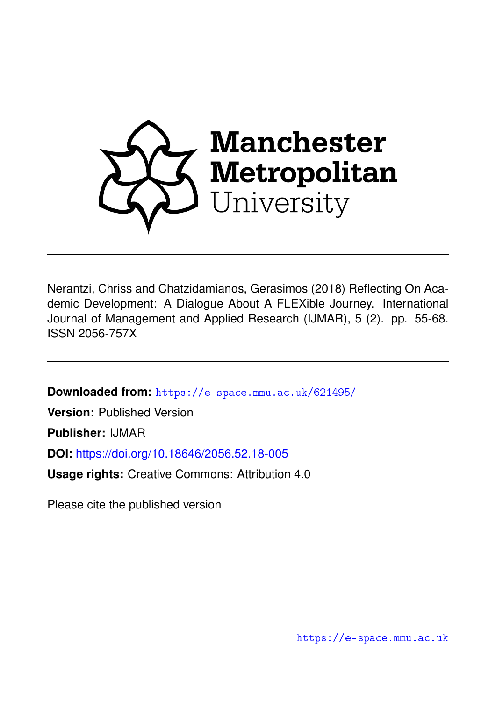

Nerantzi, Chriss and Chatzidamianos, Gerasimos (2018) Reflecting On Academic Development: A Dialogue About A FLEXible Journey. International Journal of Management and Applied Research (IJMAR), 5 (2). pp. 55-68. ISSN 2056-757X

**Downloaded from:** <https://e-space.mmu.ac.uk/621495/>

**Version:** Published Version

**Publisher:** IJMAR

**DOI:** <https://doi.org/10.18646/2056.52.18-005>

**Usage rights:** Creative Commons: Attribution 4.0

Please cite the published version

<https://e-space.mmu.ac.uk>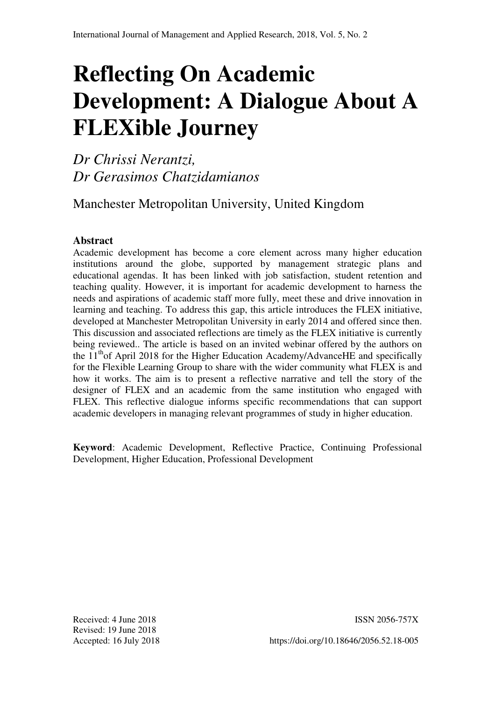# **Reflecting On Academic Development: A Dialogue About A FLEXible Journey**

*Dr Chrissi Nerantzi, Dr Gerasimos Chatzidamianos* 

Manchester Metropolitan University, United Kingdom

## **Abstract**

Academic development has become a core element across many higher education institutions around the globe, supported by management strategic plans and educational agendas. It has been linked with job satisfaction, student retention and teaching quality. However, it is important for academic development to harness the needs and aspirations of academic staff more fully, meet these and drive innovation in learning and teaching. To address this gap, this article introduces the FLEX initiative, developed at Manchester Metropolitan University in early 2014 and offered since then. This discussion and associated reflections are timely as the FLEX initiative is currently being reviewed.. The article is based on an invited webinar offered by the authors on the  $11<sup>th</sup>$  of April 2018 for the Higher Education Academy/AdvanceHE and specifically for the Flexible Learning Group to share with the wider community what FLEX is and how it works. The aim is to present a reflective narrative and tell the story of the designer of FLEX and an academic from the same institution who engaged with FLEX. This reflective dialogue informs specific recommendations that can support academic developers in managing relevant programmes of study in higher education.

**Keyword**: Academic Development, Reflective Practice, Continuing Professional Development, Higher Education, Professional Development

Received: 4 June 2018 ISSN 2056-757X Revised: 19 June 2018

Accepted: 16 July 2018 https://doi.org/10.18646/2056.52.18-005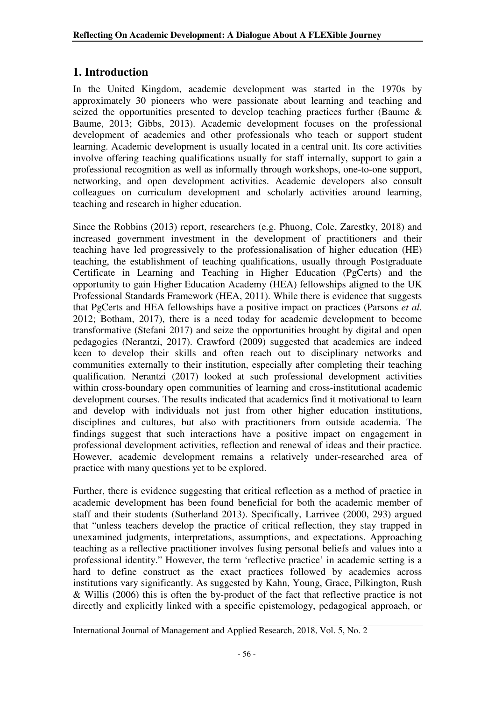## **1. Introduction**

In the United Kingdom, academic development was started in the 1970s by approximately 30 pioneers who were passionate about learning and teaching and seized the opportunities presented to develop teaching practices further (Baume & Baume, 2013; Gibbs, 2013). Academic development focuses on the professional development of academics and other professionals who teach or support student learning. Academic development is usually located in a central unit. Its core activities involve offering teaching qualifications usually for staff internally, support to gain a professional recognition as well as informally through workshops, one-to-one support, networking, and open development activities. Academic developers also consult colleagues on curriculum development and scholarly activities around learning, teaching and research in higher education.

Since the Robbins (2013) report, researchers (e.g. Phuong, Cole, Zarestky, 2018) and increased government investment in the development of practitioners and their teaching have led progressively to the professionalisation of higher education (HE) teaching, the establishment of teaching qualifications, usually through Postgraduate Certificate in Learning and Teaching in Higher Education (PgCerts) and the opportunity to gain Higher Education Academy (HEA) fellowships aligned to the UK Professional Standards Framework (HEA, 2011). While there is evidence that suggests that PgCerts and HEA fellowships have a positive impact on practices (Parsons *et al.* 2012; Botham, 2017), there is a need today for academic development to become transformative (Stefani 2017) and seize the opportunities brought by digital and open pedagogies (Nerantzi, 2017). Crawford (2009) suggested that academics are indeed keen to develop their skills and often reach out to disciplinary networks and communities externally to their institution, especially after completing their teaching qualification. Nerantzi (2017) looked at such professional development activities within cross-boundary open communities of learning and cross-institutional academic development courses. The results indicated that academics find it motivational to learn and develop with individuals not just from other higher education institutions, disciplines and cultures, but also with practitioners from outside academia. The findings suggest that such interactions have a positive impact on engagement in professional development activities, reflection and renewal of ideas and their practice. However, academic development remains a relatively under-researched area of practice with many questions yet to be explored.

Further, there is evidence suggesting that critical reflection as a method of practice in academic development has been found beneficial for both the academic member of staff and their students (Sutherland 2013). Specifically, Larrivee (2000, 293) argued that "unless teachers develop the practice of critical reflection, they stay trapped in unexamined judgments, interpretations, assumptions, and expectations. Approaching teaching as a reflective practitioner involves fusing personal beliefs and values into a professional identity." However, the term 'reflective practice' in academic setting is a hard to define construct as the exact practices followed by academics across institutions vary significantly. As suggested by Kahn, Young, Grace, Pilkington, Rush & Willis (2006) this is often the by-product of the fact that reflective practice is not directly and explicitly linked with a specific epistemology, pedagogical approach, or

International Journal of Management and Applied Research, 2018, Vol. 5, No. 2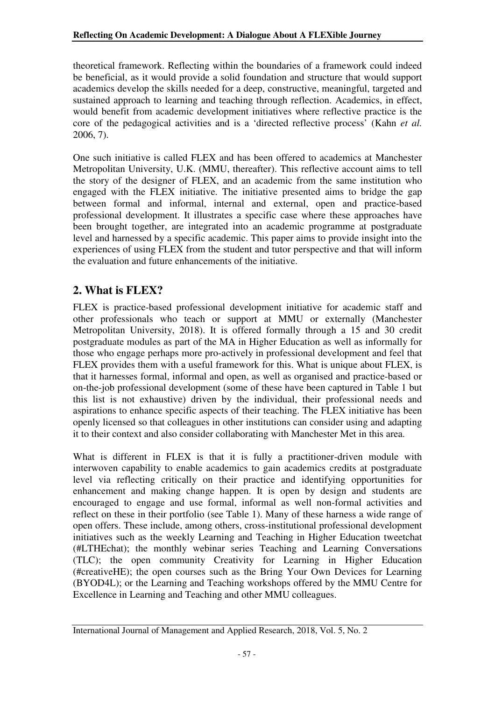theoretical framework. Reflecting within the boundaries of a framework could indeed be beneficial, as it would provide a solid foundation and structure that would support academics develop the skills needed for a deep, constructive, meaningful, targeted and sustained approach to learning and teaching through reflection. Academics, in effect, would benefit from academic development initiatives where reflective practice is the core of the pedagogical activities and is a 'directed reflective process' (Kahn *et al.* 2006, 7).

One such initiative is called FLEX and has been offered to academics at Manchester Metropolitan University, U.K. (MMU, thereafter). This reflective account aims to tell the story of the designer of FLEX, and an academic from the same institution who engaged with the FLEX initiative. The initiative presented aims to bridge the gap between formal and informal, internal and external, open and practice-based professional development. It illustrates a specific case where these approaches have been brought together, are integrated into an academic programme at postgraduate level and harnessed by a specific academic. This paper aims to provide insight into the experiences of using FLEX from the student and tutor perspective and that will inform the evaluation and future enhancements of the initiative.

# **2. What is FLEX?**

FLEX is practice-based professional development initiative for academic staff and other professionals who teach or support at MMU or externally (Manchester Metropolitan University, 2018). It is offered formally through a 15 and 30 credit postgraduate modules as part of the MA in Higher Education as well as informally for those who engage perhaps more pro-actively in professional development and feel that FLEX provides them with a useful framework for this. What is unique about FLEX, is that it harnesses formal, informal and open, as well as organised and practice-based or on-the-job professional development (some of these have been captured in Table 1 but this list is not exhaustive) driven by the individual, their professional needs and aspirations to enhance specific aspects of their teaching. The FLEX initiative has been openly licensed so that colleagues in other institutions can consider using and adapting it to their context and also consider collaborating with Manchester Met in this area.

What is different in FLEX is that it is fully a practitioner-driven module with interwoven capability to enable academics to gain academics credits at postgraduate level via reflecting critically on their practice and identifying opportunities for enhancement and making change happen. It is open by design and students are encouraged to engage and use formal, informal as well non-formal activities and reflect on these in their portfolio (see Table 1). Many of these harness a wide range of open offers. These include, among others, cross-institutional professional development initiatives such as the weekly Learning and Teaching in Higher Education tweetchat (#LTHEchat); the monthly webinar series Teaching and Learning Conversations (TLC); the open community Creativity for Learning in Higher Education (#creativeHE); the open courses such as the Bring Your Own Devices for Learning (BYOD4L); or the Learning and Teaching workshops offered by the MMU Centre for Excellence in Learning and Teaching and other MMU colleagues.

International Journal of Management and Applied Research, 2018, Vol. 5, No. 2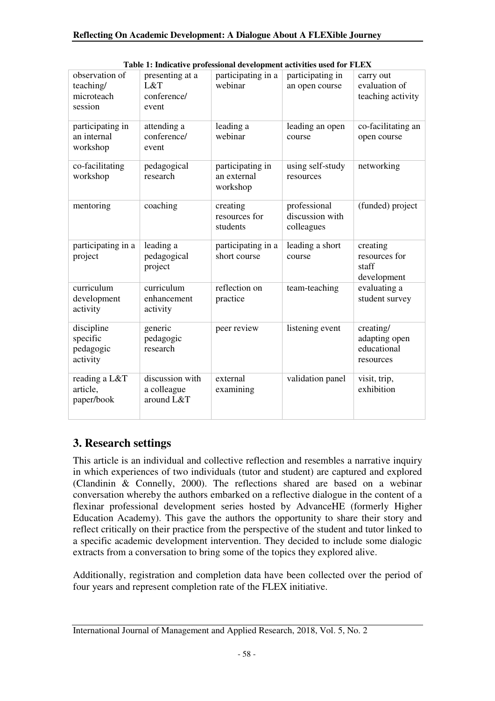| observation of<br>teaching/<br>microteach<br>session | presenting at a<br>L&T<br>conference/<br>event | participating in a<br>webinar               | participating in<br>an open course            | carry out<br>evaluation of<br>teaching activity        |
|------------------------------------------------------|------------------------------------------------|---------------------------------------------|-----------------------------------------------|--------------------------------------------------------|
| participating in<br>an internal<br>workshop          | attending a<br>conference/<br>event            | leading a<br>webinar                        | leading an open<br>course                     | co-facilitating an<br>open course                      |
| co-facilitating<br>workshop                          | pedagogical<br>research                        | participating in<br>an external<br>workshop | using self-study<br>resources                 | networking                                             |
| mentoring                                            | coaching                                       | creating<br>resources for<br>students       | professional<br>discussion with<br>colleagues | (funded) project                                       |
| participating in a<br>project                        | leading a<br>pedagogical<br>project            | participating in a<br>short course          | leading a short<br>course                     | creating<br>resources for<br>staff<br>development      |
| curriculum<br>development<br>activity                | curriculum<br>enhancement<br>activity          | reflection on<br>practice                   | team-teaching                                 | evaluating a<br>student survey                         |
| discipline<br>specific<br>pedagogic<br>activity      | generic<br>pedagogic<br>research               | peer review                                 | listening event                               | creating/<br>adapting open<br>educational<br>resources |
| reading a L&T<br>article,<br>paper/book              | discussion with<br>a colleague<br>around L&T   | external<br>examining                       | validation panel                              | visit, trip,<br>exhibition                             |

**Table 1: Indicative professional development activities used for FLEX** 

# **3. Research settings**

This article is an individual and collective reflection and resembles a narrative inquiry in which experiences of two individuals (tutor and student) are captured and explored (Clandinin & Connelly, 2000). The reflections shared are based on a webinar conversation whereby the authors embarked on a reflective dialogue in the content of a flexinar professional development series hosted by AdvanceHE (formerly Higher Education Academy). This gave the authors the opportunity to share their story and reflect critically on their practice from the perspective of the student and tutor linked to a specific academic development intervention. They decided to include some dialogic extracts from a conversation to bring some of the topics they explored alive.

Additionally, registration and completion data have been collected over the period of four years and represent completion rate of the FLEX initiative.

International Journal of Management and Applied Research, 2018, Vol. 5, No. 2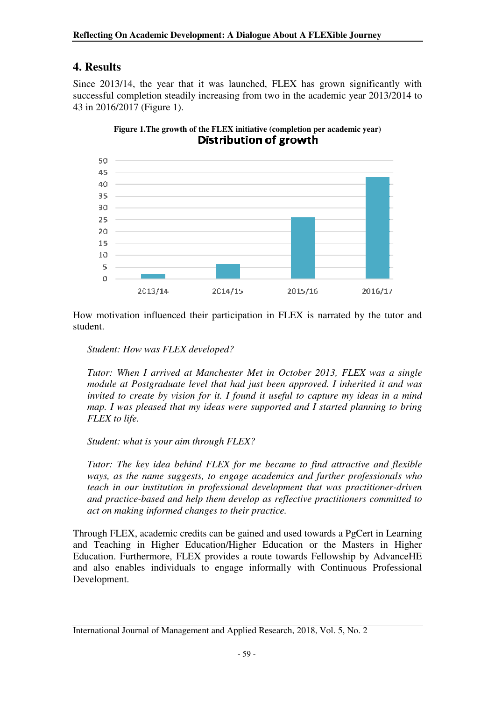## **4. Results**

Since 2013/14, the year that it was launched, FLEX has grown significantly with successful completion steadily increasing from two in the academic year 2013/2014 to 43 in 2016/2017 (Figure 1).



**Figure 1.The growth of the FLEX initiative (completion per academic year)**  Distribution of growth

How motivation influenced their participation in FLEX is narrated by the tutor and student.

*Student: How was FLEX developed?* 

*Tutor: When I arrived at Manchester Met in October 2013, FLEX was a single module at Postgraduate level that had just been approved. I inherited it and was invited to create by vision for it. I found it useful to capture my ideas in a mind map. I was pleased that my ideas were supported and I started planning to bring FLEX to life.* 

*Student: what is your aim through FLEX?* 

*Tutor: The key idea behind FLEX for me became to find attractive and flexible ways, as the name suggests, to engage academics and further professionals who teach in our institution in professional development that was practitioner-driven and practice-based and help them develop as reflective practitioners committed to act on making informed changes to their practice.*

Through FLEX, academic credits can be gained and used towards a PgCert in Learning and Teaching in Higher Education/Higher Education or the Masters in Higher Education. Furthermore, FLEX provides a route towards Fellowship by AdvanceHE and also enables individuals to engage informally with Continuous Professional Development.

International Journal of Management and Applied Research, 2018, Vol. 5, No. 2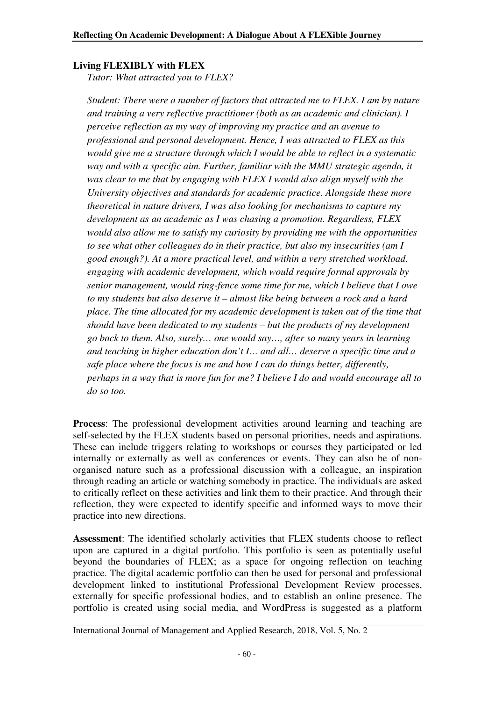#### **Living FLEXIBLY with FLEX**

*Tutor: What attracted you to FLEX?* 

*Student: There were a number of factors that attracted me to FLEX. I am by nature and training a very reflective practitioner (both as an academic and clinician). I perceive reflection as my way of improving my practice and an avenue to professional and personal development. Hence, I was attracted to FLEX as this would give me a structure through which I would be able to reflect in a systematic way and with a specific aim. Further, familiar with the MMU strategic agenda, it was clear to me that by engaging with FLEX I would also align myself with the University objectives and standards for academic practice. Alongside these more theoretical in nature drivers, I was also looking for mechanisms to capture my development as an academic as I was chasing a promotion. Regardless, FLEX would also allow me to satisfy my curiosity by providing me with the opportunities to see what other colleagues do in their practice, but also my insecurities (am I good enough?). At a more practical level, and within a very stretched workload, engaging with academic development, which would require formal approvals by senior management, would ring-fence some time for me, which I believe that I owe to my students but also deserve it – almost like being between a rock and a hard place. The time allocated for my academic development is taken out of the time that should have been dedicated to my students – but the products of my development go back to them. Also, surely… one would say…, after so many years in learning and teaching in higher education don't I… and all… deserve a specific time and a safe place where the focus is me and how I can do things better, differently, perhaps in a way that is more fun for me? I believe I do and would encourage all to do so too.*

**Process**: The professional development activities around learning and teaching are self-selected by the FLEX students based on personal priorities, needs and aspirations. These can include triggers relating to workshops or courses they participated or led internally or externally as well as conferences or events. They can also be of nonorganised nature such as a professional discussion with a colleague, an inspiration through reading an article or watching somebody in practice. The individuals are asked to critically reflect on these activities and link them to their practice. And through their reflection, they were expected to identify specific and informed ways to move their practice into new directions.

**Assessment**: The identified scholarly activities that FLEX students choose to reflect upon are captured in a digital portfolio. This portfolio is seen as potentially useful beyond the boundaries of FLEX; as a space for ongoing reflection on teaching practice. The digital academic portfolio can then be used for personal and professional development linked to institutional Professional Development Review processes, externally for specific professional bodies, and to establish an online presence. The portfolio is created using social media, and WordPress is suggested as a platform

International Journal of Management and Applied Research, 2018, Vol. 5, No. 2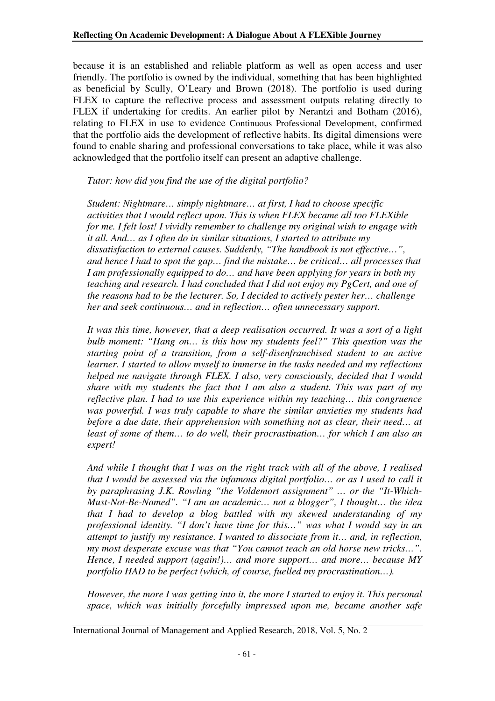because it is an established and reliable platform as well as open access and user friendly. The portfolio is owned by the individual, something that has been highlighted as beneficial by Scully, O'Leary and Brown (2018). The portfolio is used during FLEX to capture the reflective process and assessment outputs relating directly to FLEX if undertaking for credits. An earlier pilot by Nerantzi and Botham (2016), relating to FLEX in use to evidence Continuous Professional Development, confirmed that the portfolio aids the development of reflective habits. Its digital dimensions were found to enable sharing and professional conversations to take place, while it was also acknowledged that the portfolio itself can present an adaptive challenge.

#### *Tutor: how did you find the use of the digital portfolio?*

*Student: Nightmare… simply nightmare… at first, I had to choose specific activities that I would reflect upon. This is when FLEX became all too FLEXible for me. I felt lost! I vividly remember to challenge my original wish to engage with it all. And… as I often do in similar situations, I started to attribute my dissatisfaction to external causes. Suddenly, "The handbook is not effective…", and hence I had to spot the gap… find the mistake… be critical… all processes that I am professionally equipped to do… and have been applying for years in both my teaching and research. I had concluded that I did not enjoy my PgCert, and one of the reasons had to be the lecturer. So, I decided to actively pester her… challenge her and seek continuous… and in reflection… often unnecessary support.* 

*It was this time, however, that a deep realisation occurred. It was a sort of a light bulb moment: "Hang on… is this how my students feel?" This question was the starting point of a transition, from a self-disenfranchised student to an active learner. I started to allow myself to immerse in the tasks needed and my reflections helped me navigate through FLEX. I also, very consciously, decided that I would share with my students the fact that I am also a student. This was part of my reflective plan. I had to use this experience within my teaching… this congruence was powerful. I was truly capable to share the similar anxieties my students had before a due date, their apprehension with something not as clear, their need... at least of some of them… to do well, their procrastination… for which I am also an expert!* 

*And while I thought that I was on the right track with all of the above, I realised that I would be assessed via the infamous digital portfolio… or as I used to call it by paraphrasing J.K. Rowling "the Voldemort assignment" … or the "It-Which-Must-Not-Be-Named". "I am an academic… not a blogger", I thought… the idea that I had to develop a blog battled with my skewed understanding of my professional identity. "I don't have time for this…" was what I would say in an attempt to justify my resistance. I wanted to dissociate from it… and, in reflection, my most desperate excuse was that "You cannot teach an old horse new tricks…". Hence, I needed support (again!)… and more support… and more… because MY portfolio HAD to be perfect (which, of course, fuelled my procrastination…).* 

*However, the more I was getting into it, the more I started to enjoy it. This personal space, which was initially forcefully impressed upon me, became another safe* 

International Journal of Management and Applied Research, 2018, Vol. 5, No. 2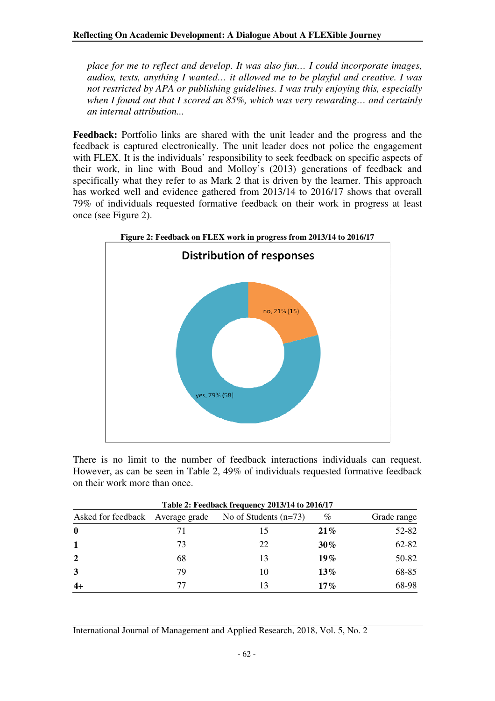*place for me to reflect and develop. It was also fun… I could incorporate images, audios, texts, anything I wanted… it allowed me to be playful and creative. I was not restricted by APA or publishing guidelines. I was truly enjoying this, especially when I found out that I scored an 85%, which was very rewarding… and certainly an internal attribution...* 

**Feedback:** Portfolio links are shared with the unit leader and the progress and the feedback is captured electronically. The unit leader does not police the engagement with FLEX. It is the individuals' responsibility to seek feedback on specific aspects of their work, in line with Boud and Molloy's (2013) generations of feedback and specifically what they refer to as Mark 2 that is driven by the learner. This approach has worked well and evidence gathered from 2013/14 to 2016/17 shows that overall 79% of individuals requested formative feedback on their work in progress at least once (see Figure 2).





| Table 2: Feedback frequency 2013/14 to 2016/17 |                                                             |    |        |             |  |  |
|------------------------------------------------|-------------------------------------------------------------|----|--------|-------------|--|--|
|                                                | No of Students $(n=73)$<br>Asked for feedback Average grade |    | %      | Grade range |  |  |
| $\mathbf 0$                                    |                                                             | 15 | 21%    | 52-82       |  |  |
|                                                | 73                                                          | 22 | $30\%$ | 62-82       |  |  |
| $\mathbf{2}$                                   | 68                                                          | 13 | $19\%$ | 50-82       |  |  |
| 3                                              | 79                                                          | 10 | $13\%$ | 68-85       |  |  |
|                                                | 77                                                          | 13 | $17\%$ | 68-98       |  |  |

International Journal of Management and Applied Research, 2018, Vol. 5, No. 2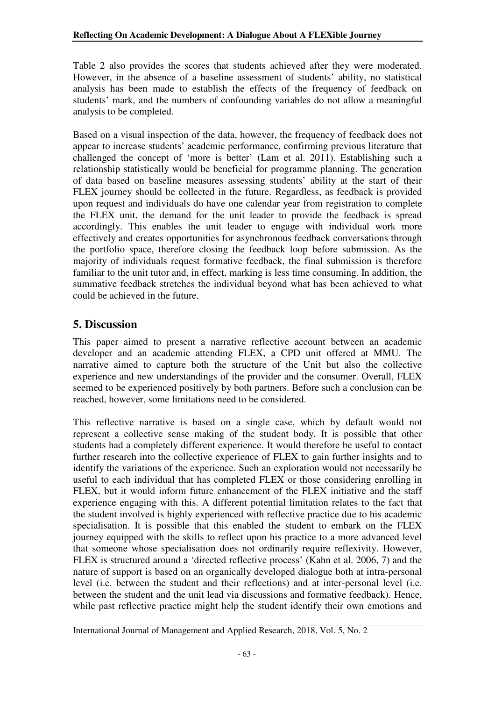Table 2 also provides the scores that students achieved after they were moderated. However, in the absence of a baseline assessment of students' ability, no statistical analysis has been made to establish the effects of the frequency of feedback on students' mark, and the numbers of confounding variables do not allow a meaningful analysis to be completed.

Based on a visual inspection of the data, however, the frequency of feedback does not appear to increase students' academic performance, confirming previous literature that challenged the concept of 'more is better' (Lam et al. 2011). Establishing such a relationship statistically would be beneficial for programme planning. The generation of data based on baseline measures assessing students' ability at the start of their FLEX journey should be collected in the future. Regardless, as feedback is provided upon request and individuals do have one calendar year from registration to complete the FLEX unit, the demand for the unit leader to provide the feedback is spread accordingly. This enables the unit leader to engage with individual work more effectively and creates opportunities for asynchronous feedback conversations through the portfolio space, therefore closing the feedback loop before submission. As the majority of individuals request formative feedback, the final submission is therefore familiar to the unit tutor and, in effect, marking is less time consuming. In addition, the summative feedback stretches the individual beyond what has been achieved to what could be achieved in the future.

## **5. Discussion**

This paper aimed to present a narrative reflective account between an academic developer and an academic attending FLEX, a CPD unit offered at MMU. The narrative aimed to capture both the structure of the Unit but also the collective experience and new understandings of the provider and the consumer. Overall, FLEX seemed to be experienced positively by both partners. Before such a conclusion can be reached, however, some limitations need to be considered.

This reflective narrative is based on a single case, which by default would not represent a collective sense making of the student body. It is possible that other students had a completely different experience. It would therefore be useful to contact further research into the collective experience of FLEX to gain further insights and to identify the variations of the experience. Such an exploration would not necessarily be useful to each individual that has completed FLEX or those considering enrolling in FLEX, but it would inform future enhancement of the FLEX initiative and the staff experience engaging with this. A different potential limitation relates to the fact that the student involved is highly experienced with reflective practice due to his academic specialisation. It is possible that this enabled the student to embark on the FLEX journey equipped with the skills to reflect upon his practice to a more advanced level that someone whose specialisation does not ordinarily require reflexivity. However, FLEX is structured around a 'directed reflective process' (Kahn et al. 2006, 7) and the nature of support is based on an organically developed dialogue both at intra-personal level (i.e. between the student and their reflections) and at inter-personal level (i.e. between the student and the unit lead via discussions and formative feedback). Hence, while past reflective practice might help the student identify their own emotions and

International Journal of Management and Applied Research, 2018, Vol. 5, No. 2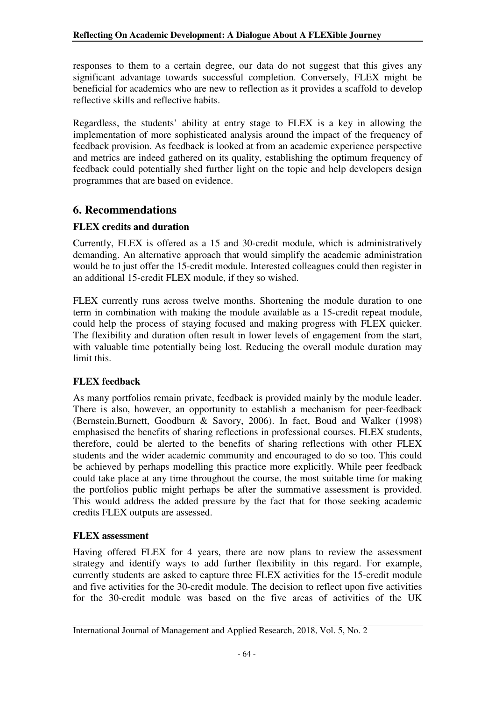responses to them to a certain degree, our data do not suggest that this gives any significant advantage towards successful completion. Conversely, FLEX might be beneficial for academics who are new to reflection as it provides a scaffold to develop reflective skills and reflective habits.

Regardless, the students' ability at entry stage to FLEX is a key in allowing the implementation of more sophisticated analysis around the impact of the frequency of feedback provision. As feedback is looked at from an academic experience perspective and metrics are indeed gathered on its quality, establishing the optimum frequency of feedback could potentially shed further light on the topic and help developers design programmes that are based on evidence.

## **6. Recommendations**

#### **FLEX credits and duration**

Currently, FLEX is offered as a 15 and 30-credit module, which is administratively demanding. An alternative approach that would simplify the academic administration would be to just offer the 15-credit module. Interested colleagues could then register in an additional 15-credit FLEX module, if they so wished.

FLEX currently runs across twelve months. Shortening the module duration to one term in combination with making the module available as a 15-credit repeat module, could help the process of staying focused and making progress with FLEX quicker. The flexibility and duration often result in lower levels of engagement from the start, with valuable time potentially being lost. Reducing the overall module duration may limit this.

#### **FLEX feedback**

As many portfolios remain private, feedback is provided mainly by the module leader. There is also, however, an opportunity to establish a mechanism for peer-feedback (Bernstein,Burnett, Goodburn & Savory, 2006). In fact, Boud and Walker (1998) emphasised the benefits of sharing reflections in professional courses. FLEX students, therefore, could be alerted to the benefits of sharing reflections with other FLEX students and the wider academic community and encouraged to do so too. This could be achieved by perhaps modelling this practice more explicitly. While peer feedback could take place at any time throughout the course, the most suitable time for making the portfolios public might perhaps be after the summative assessment is provided. This would address the added pressure by the fact that for those seeking academic credits FLEX outputs are assessed.

#### **FLEX assessment**

Having offered FLEX for 4 years, there are now plans to review the assessment strategy and identify ways to add further flexibility in this regard. For example, currently students are asked to capture three FLEX activities for the 15-credit module and five activities for the 30-credit module. The decision to reflect upon five activities for the 30-credit module was based on the five areas of activities of the UK

International Journal of Management and Applied Research, 2018, Vol. 5, No. 2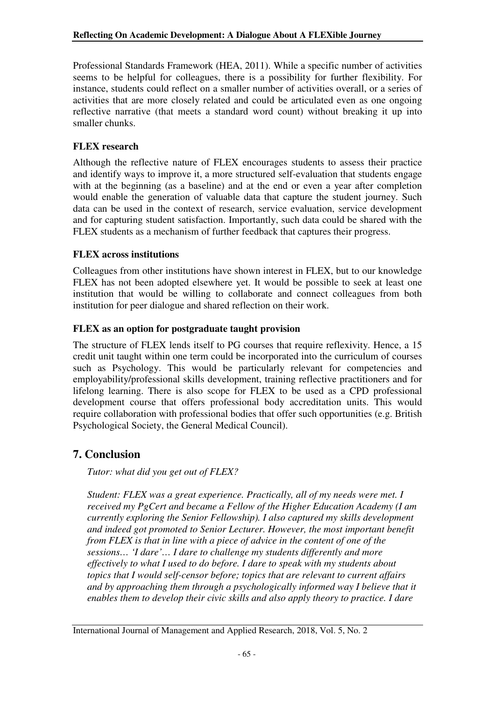Professional Standards Framework (HEA, 2011). While a specific number of activities seems to be helpful for colleagues, there is a possibility for further flexibility. For instance, students could reflect on a smaller number of activities overall, or a series of activities that are more closely related and could be articulated even as one ongoing reflective narrative (that meets a standard word count) without breaking it up into smaller chunks.

### **FLEX research**

Although the reflective nature of FLEX encourages students to assess their practice and identify ways to improve it, a more structured self-evaluation that students engage with at the beginning (as a baseline) and at the end or even a year after completion would enable the generation of valuable data that capture the student journey. Such data can be used in the context of research, service evaluation, service development and for capturing student satisfaction. Importantly, such data could be shared with the FLEX students as a mechanism of further feedback that captures their progress.

#### **FLEX across institutions**

Colleagues from other institutions have shown interest in FLEX, but to our knowledge FLEX has not been adopted elsewhere yet. It would be possible to seek at least one institution that would be willing to collaborate and connect colleagues from both institution for peer dialogue and shared reflection on their work.

## **FLEX as an option for postgraduate taught provision**

The structure of FLEX lends itself to PG courses that require reflexivity. Hence, a 15 credit unit taught within one term could be incorporated into the curriculum of courses such as Psychology. This would be particularly relevant for competencies and employability/professional skills development, training reflective practitioners and for lifelong learning. There is also scope for FLEX to be used as a CPD professional development course that offers professional body accreditation units. This would require collaboration with professional bodies that offer such opportunities (e.g. British Psychological Society, the General Medical Council).

# **7. Conclusion**

*Tutor: what did you get out of FLEX?* 

*Student: FLEX was a great experience. Practically, all of my needs were met. I received my PgCert and became a Fellow of the Higher Education Academy (I am currently exploring the Senior Fellowship). I also captured my skills development and indeed got promoted to Senior Lecturer. However, the most important benefit from FLEX is that in line with a piece of advice in the content of one of the sessions… 'I dare'… I dare to challenge my students differently and more effectively to what I used to do before. I dare to speak with my students about topics that I would self-censor before; topics that are relevant to current affairs and by approaching them through a psychologically informed way I believe that it enables them to develop their civic skills and also apply theory to practice. I dare* 

#### International Journal of Management and Applied Research, 2018, Vol. 5, No. 2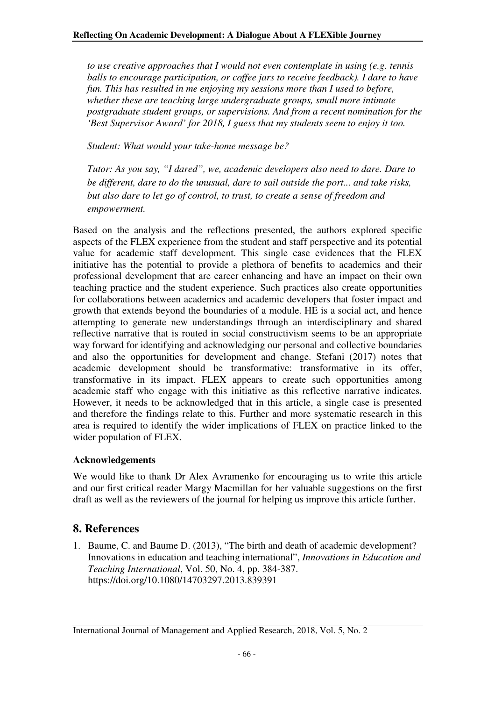*to use creative approaches that I would not even contemplate in using (e.g. tennis balls to encourage participation, or coffee jars to receive feedback). I dare to have fun. This has resulted in me enjoying my sessions more than I used to before, whether these are teaching large undergraduate groups, small more intimate postgraduate student groups, or supervisions. And from a recent nomination for the 'Best Supervisor Award' for 2018, I guess that my students seem to enjoy it too.* 

*Student: What would your take-home message be?* 

*Tutor: As you say, "I dared", we, academic developers also need to dare. Dare to be different, dare to do the unusual, dare to sail outside the port... and take risks, but also dare to let go of control, to trust, to create a sense of freedom and empowerment.*

Based on the analysis and the reflections presented, the authors explored specific aspects of the FLEX experience from the student and staff perspective and its potential value for academic staff development. This single case evidences that the FLEX initiative has the potential to provide a plethora of benefits to academics and their professional development that are career enhancing and have an impact on their own teaching practice and the student experience. Such practices also create opportunities for collaborations between academics and academic developers that foster impact and growth that extends beyond the boundaries of a module. HE is a social act, and hence attempting to generate new understandings through an interdisciplinary and shared reflective narrative that is routed in social constructivism seems to be an appropriate way forward for identifying and acknowledging our personal and collective boundaries and also the opportunities for development and change. Stefani (2017) notes that academic development should be transformative: transformative in its offer, transformative in its impact. FLEX appears to create such opportunities among academic staff who engage with this initiative as this reflective narrative indicates. However, it needs to be acknowledged that in this article, a single case is presented and therefore the findings relate to this. Further and more systematic research in this area is required to identify the wider implications of FLEX on practice linked to the wider population of FLEX.

#### **Acknowledgements**

We would like to thank Dr Alex Avramenko for encouraging us to write this article and our first critical reader Margy Macmillan for her valuable suggestions on the first draft as well as the reviewers of the journal for helping us improve this article further.

## **8. References**

1. Baume, C. and Baume D. (2013), "The birth and death of academic development? Innovations in education and teaching international", *Innovations in Education and Teaching International*, Vol. 50, No. 4, pp. 384-387. https://doi.org/10.1080/14703297.2013.839391

International Journal of Management and Applied Research, 2018, Vol. 5, No. 2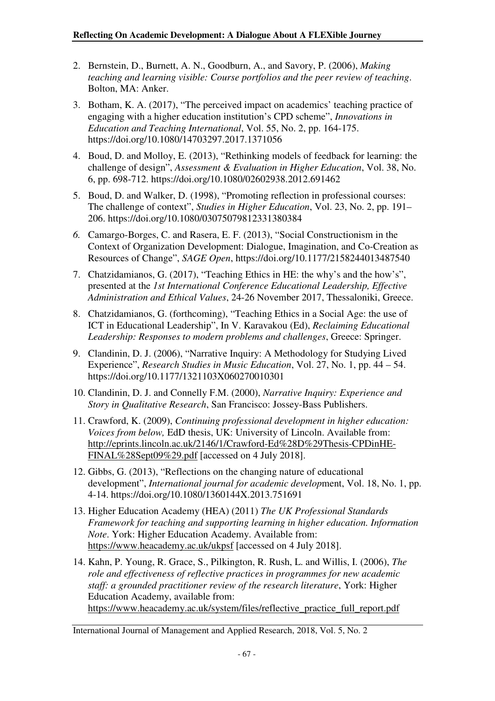- 2. Bernstein, D., Burnett, A. N., Goodburn, A., and Savory, P. (2006), *Making teaching and learning visible: Course portfolios and the peer review of teaching*. Bolton, MA: Anker.
- 3. Botham, K. A. (2017), "The perceived impact on academics' teaching practice of engaging with a higher education institution's CPD scheme", *Innovations in Education and Teaching International*, Vol. 55, No. 2, pp. 164-175. https://doi.org/10.1080/14703297.2017.1371056
- 4. Boud, D. and Molloy, E. (2013), "Rethinking models of feedback for learning: the challenge of design", *Assessment & Evaluation in Higher Education*, Vol. 38, No. 6, pp. 698-712. https://doi.org/10.1080/02602938.2012.691462
- 5. Boud, D. and Walker, D. (1998), "Promoting reflection in professional courses: The challenge of context", *Studies in Higher Education*, Vol. 23, No. 2, pp. 191– 206. https://doi.org/10.1080/03075079812331380384
- *6.* Camargo-Borges, C. and Rasera, E. F. (2013), "Social Constructionism in the Context of Organization Development: Dialogue, Imagination, and Co-Creation as Resources of Change", *SAGE Open*, https://doi.org/10.1177/2158244013487540
- 7. Chatzidamianos, G. (2017), "Teaching Ethics in HE: the why's and the how's", presented at the *1st International Conference Educational Leadership, Effective Administration and Ethical Values*, 24-26 November 2017, Thessaloniki, Greece.
- 8. Chatzidamianos, G. (forthcoming), "Teaching Ethics in a Social Age: the use of ICT in Educational Leadership", In V. Karavakou (Ed), *Reclaiming Educational Leadership: Responses to modern problems and challenges*, Greece: Springer.
- 9. Clandinin, D. J. (2006), "Narrative Inquiry: A Methodology for Studying Lived Experience", *Research Studies in Music Education*, Vol. 27, No. 1, pp. 44 – 54. https://doi.org/10.1177/1321103X060270010301
- 10. Clandinin, D. J. and Connelly F.M. (2000), *Narrative Inquiry: Experience and Story in Qualitative Research*, San Francisco: Jossey-Bass Publishers.
- 11. Crawford, K. (2009), *Continuing professional development in higher education: Voices from below,* EdD thesis, UK: University of Lincoln. Available from: http://eprints.lincoln.ac.uk/2146/1/Crawford-Ed%28D%29Thesis-CPDinHE-FINAL%28Sept09%29.pdf [accessed on 4 July 2018].
- 12. Gibbs, G. (2013), "Reflections on the changing nature of educational development", *International journal for academic develop*ment, Vol. 18, No. 1, pp. 4-14. https://doi.org/10.1080/1360144X.2013.751691
- 13. Higher Education Academy (HEA) (2011) *The UK Professional Standards Framework for teaching and supporting learning in higher education. Information Note*. York: Higher Education Academy. Available from: https://www.heacademy.ac.uk/ukpsf [accessed on 4 July 2018].
- 14. Kahn, P. Young, R. Grace, S., Pilkington, R. Rush, L. and Willis, I. (2006), *The role and effectiveness of reflective practices in programmes for new academic staff: a grounded practitioner review of the research literature*, York: Higher Education Academy, available from: https://www.heacademy.ac.uk/system/files/reflective\_practice\_full\_report.pdf

International Journal of Management and Applied Research, 2018, Vol. 5, No. 2